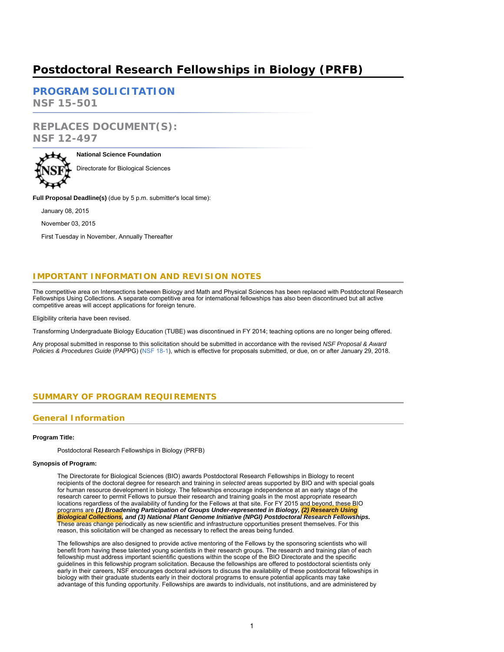# **Postdoctoral Research Fellowships in Biology (PRFB)**

**[PROGRAM SOLICITATION](#page-2-0) NSF 15-501**

# **REPLACES DOCUMENT(S): NSF 12-497**



**National Science Foundation** Directorate for Biological Sciences

**Full Proposal Deadline(s)** (due by 5 p.m. submitter's local time):

January 08, 2015

November 03, 2015

First Tuesday in November, Annually Thereafter

## **IMPORTANT INFORMATION AND REVISION NOTES**

The competitive area on Intersections between Biology and Math and Physical Sciences has been replaced with Postdoctoral Research Fellowships Using Collections. A separate competitive area for international fellowships has also been discontinued but all active competitive areas will accept applications for foreign tenure.

Eligibility criteria have been revised.

Transforming Undergraduate Biology Education (TUBE) was discontinued in FY 2014; teaching options are no longer being offered.

<span id="page-0-0"></span>Any proposal submitted in response to this solicitation should be submitted in accordance with the revised *NSF Proposal & Award Policies & Procedures Guide* (PAPPG) ([NSF 1](https://www.nsf.gov/publications/pub_summ.jsp?ods_key=nsf18001)8-1), which is effective for proposals submitted, or due, on or after January 29, 2018.

## **SUMMARY OF PROGRAM REQUIREMENTS**

## **General Information**

### **Program Title:**

Postdoctoral Research Fellowships in Biology (PRFB)

### **Synopsis of Program:**

The Directorate for Biological Sciences (BIO) awards Postdoctoral Research Fellowships in Biology to recent recipients of the doctoral degree for research and training in *selected* areas supported by BIO and with special goals for human resource development in biology. The fellowships encourage independence at an early stage of the research career to permit Fellows to pursue their research and training goals in the most appropriate research locations regardless of the availability of funding for the Fellows at that site. For FY 2015 and beyond, these BIO programs are *(1) Broadening Participation of Groups Under-represented in Biology, (2) Research Using Biological Collections, and (3) National Plant Genome Initiative (NPGI) Postdoctoral Research Fellowships.* These areas change periodically as new scientific and infrastructure opportunities present themselves. For this reason, this solicitation will be changed as necessary to reflect the areas being funded.

The fellowships are also designed to provide active mentoring of the Fellows by the sponsoring scientists who will benefit from having these talented young scientists in their research groups. The research and training plan of each fellowship must address important scientific questions within the scope of the BIO Directorate and the specific guidelines in this fellowship program solicitation. Because the fellowships are offered to postdoctoral scientists only early in their careers, NSF encourages doctoral advisors to discuss the availability of these postdoctoral fellowships in biology with their graduate students early in their doctoral programs to ensure potential applicants may take advantage of this funding opportunity. Fellowships are awards to individuals, not institutions, and are administered by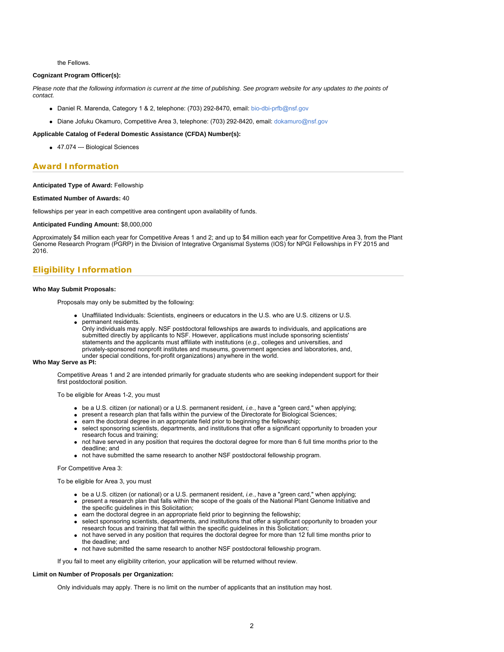the Fellows.

#### **Cognizant Program Officer(s):**

*Please note that the following information is current at the time of publishing. See program website for any updates to the points of contact.*

- Daniel R. Marenda, Category 1 & 2, telephone: (703) 292-8470, email: [bio-dbi-prfb@nsf.gov](mailto:bio-dbi-prfb@nsf.gov)
- Diane Jofuku Okamuro, Competitive Area 3, telephone: (703) 292-8420, email: [dokamuro@nsf.gov](mailto:dokamuro@nsf.gov)

### **Applicable Catalog of Federal Domestic Assistance (CFDA) Number(s):**

47.074 --- Biological Sciences

## **Award Information**

### **Anticipated Type of Award:** Fellowship

#### **Estimated Number of Awards:** 40

fellowships per year in each competitive area contingent upon availability of funds.

### **Anticipated Funding Amount:** \$8,000,000

Approximately \$4 million each year for Competitive Areas 1 and 2; and up to \$4 million each year for Competitive Area 3, from the Plant Genome Research Program (PGRP) in the Division of Integrative Organismal Systems (IOS) for NPGI Fellowships in FY 2015 and 2016.

## **Eligibility Information**

### **Who May Submit Proposals:**

Proposals may only be submitted by the following:

- Unaffiliated Individuals: Scientists, engineers or educators in the U.S. who are U.S. citizens or U.S.
- permanent residents.
	- Only individuals may apply. NSF postdoctoral fellowships are awards to individuals, and applications are submitted directly by applicants to NSF. However, applications must include sponsoring scientists' statements and the applicants must affiliate with institutions (*e.g.*, colleges and universities, and privately-sponsored nonprofit institutes and museums, government agencies and laboratories, and, under special conditions, for-profit organizations) anywhere in the world.

#### **Who May Serve as PI:**

Competitive Areas 1 and 2 are intended primarily for graduate students who are seeking independent support for their first postdoctoral position.

To be eligible for Areas 1-2, you must

- be a U.S. citizen (or national) or a U.S. permanent resident, *i.e.*, have a "green card," when applying;
- present a research plan that falls within the purview of the Directorate for Biological Sciences;
- earn the doctoral degree in an appropriate field prior to beginning the fellowship;
- select sponsoring scientists, departments, and institutions that offer a significant opportunity to broaden your research focus and training;
- not have served in any position that requires the doctoral degree for more than 6 full time months prior to the deadline; and
- not have submitted the same research to another NSF postdoctoral fellowship program.

#### For Competitive Area 3:

To be eligible for Area 3, you must

- be a U.S. citizen (or national) or a U.S. permanent resident, *i.e.*, have a "green card," when applying;
- present a research plan that falls within the scope of the goals of the National Plant Genome Initiative and the specific guidelines in this Solicitation;
- earn the doctoral degree in an appropriate field prior to beginning the fellowship;
- select sponsoring scientists, departments, and institutions that offer a significant opportunity to broaden your research focus and training that fall within the specific guidelines in this Solicitation;
- not have served in any position that requires the doctoral degree for more than 12 full time months prior to the deadline; and
- not have submitted the same research to another NSF postdoctoral fellowship program.

If you fail to meet any eligibility criterion, your application will be returned without review.

### **Limit on Number of Proposals per Organization:**

Only individuals may apply. There is no limit on the number of applicants that an institution may host.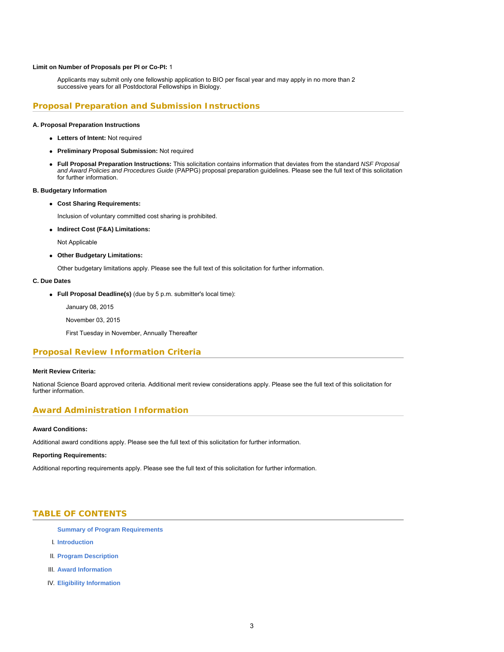### **Limit on Number of Proposals per PI or Co-PI:** 1

Applicants may submit only one fellowship application to BIO per fiscal year and may apply in no more than 2 successive years for all Postdoctoral Fellowships in Biology.

## **Proposal Preparation and Submission Instructions**

### **A. Proposal Preparation Instructions**

- **Letters of Intent:** Not required
- **Preliminary Proposal Submission:** Not required
- **Full Proposal Preparation Instructions:** This solicitation contains information that deviates from the standard *NSF Proposal and Award Policies and Procedures Guide* (PAPPG) proposal preparation guidelines. Please see the full text of this solicitation for further information.

#### **B. Budgetary Information**

**Cost Sharing Requirements:**

Inclusion of voluntary committed cost sharing is prohibited.

**Indirect Cost (F&A) Limitations:**

Not Applicable

**Other Budgetary Limitations:**

Other budgetary limitations apply. Please see the full text of this solicitation for further information.

## **C. Due Dates**

**Full Proposal Deadline(s)** (due by 5 p.m. submitter's local time):

January 08, 2015

November 03, 2015

First Tuesday in November, Annually Thereafter

## **Proposal Review Information Criteria**

#### **Merit Review Criteria:**

National Science Board approved criteria. Additional merit review considerations apply. Please see the full text of this solicitation for further information.

## **Award Administration Information**

### **Award Conditions:**

Additional award conditions apply. Please see the full text of this solicitation for further information.

#### **Reporting Requirements:**

<span id="page-2-0"></span>Additional reporting requirements apply. Please see the full text of this solicitation for further information.

## **TABLE OF CONTENTS**

- **[Summary of Program Requirements](#page-0-0)**
- I. **[Introduction](#page-3-0)**
- II. **[Program Description](#page-3-1)**
- III. **[Award Information](#page-5-0)**
- IV. **[Eligibility Information](#page-6-0)**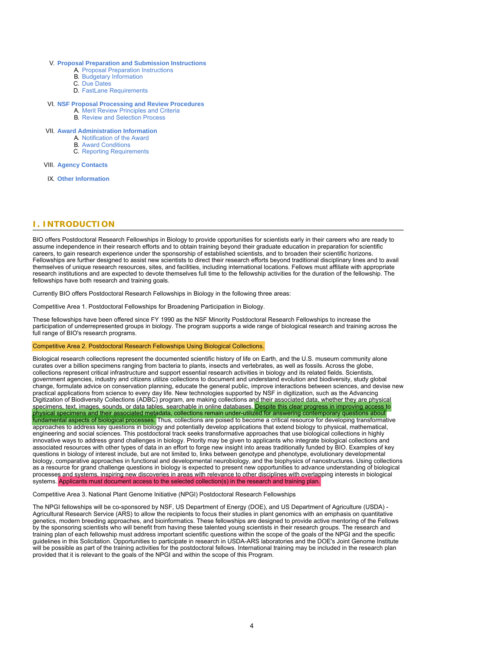### V. **[Proposal Preparation and Submission Instructions](#page-7-0)**

- A. [Proposal Preparation Instructions](#page-7-0)
- B. [Budgetary Information](#page-9-0)
- C. [Due Dates](#page-9-1)
- D. [FastLane Requirements](#page-9-2)

### VI. **[NSF Proposal Processing and Review Procedures](#page-9-3)**

- A. [Merit Review Principles and Criteria](#page-9-4)
- B. [Review and Selection Process](#page-10-0)

## VII. **[Award Administration Information](#page-11-0)**

- A. [Notification of the Award](#page-11-1)
- B. [Award Conditions](#page-11-2)
- C. [Reporting Requirements](#page-11-3)

### <span id="page-3-0"></span>VIII. **[Agency Contacts](#page-12-0)**

IX. **[Other Information](#page-12-1)**

## **I. INTRODUCTION**

BIO offers Postdoctoral Research Fellowships in Biology to provide opportunities for scientists early in their careers who are ready to assume independence in their research efforts and to obtain training beyond their graduate education in preparation for scientific careers, to gain research experience under the sponsorship of established scientists, and to broaden their scientific horizons. Fellowships are further designed to assist new scientists to direct their research efforts beyond traditional disciplinary lines and to avail themselves of unique research resources, sites, and facilities, including international locations. Fellows must affiliate with appropriate research institutions and are expected to devote themselves full time to the fellowship activities for the duration of the fellowship. The fellowships have both research and training goals.

Currently BIO offers Postdoctoral Research Fellowships in Biology in the following three areas:

Competitive Area 1. Postdoctoral Fellowships for Broadening Participation in Biology.

These fellowships have been offered since FY 1990 as the NSF Minority Postdoctoral Research Fellowships to increase the participation of underrepresented groups in biology. The program supports a wide range of biological research and training across the full range of BIO's research programs.

## Competitive Area 2. Postdoctoral Research Fellowships Using Biological Collections.

Biological research collections represent the documented scientific history of life on Earth, and the U.S. museum community alone curates over a billion specimens ranging from bacteria to plants, insects and vertebrates, as well as fossils. Across the globe, collections represent critical infrastructure and support essential research activities in biology and its related fields. Scientists, government agencies, industry and citizens utilize collections to document and understand evolution and biodiversity, study global change, formulate advice on conservation planning, educate the general public, improve interactions between sciences, and devise new practical applications from science to every day life. New technologies supported by NSF in digitization, such as the Advancing Digitization of Biodiversity Collections (ADBC) program, are making collections and their associated data, whether they are physical specimens, text, images, sounds, or data tables, searchable in online databases. Despite this clear progress in improving access to physical specimens and their associated metadata, collections remain under-utilized for answering contemporary questions about fundamental aspects of biological processes. Thus, collections are poised to become a critical resource for developing transformative approaches to address key questions in biology and potentially develop applications that extend biology to physical, mathematical, engineering and social sciences. This postdoctoral track seeks transformative approaches that use biological collections in highly innovative ways to address grand challenges in biology. Priority may be given to applicants who integrate biological collections and associated resources with other types of data in an effort to forge new insight into areas traditionally funded by BIO. Examples of key questions in biology of interest include, but are not limited to, links between genotype and phenotype, evolutionary developmental biology, comparative approaches in functional and developmental neurobiology, and the biophysics of nanostructures. Using collections as a resource for grand challenge questions in biology is expected to present new opportunities to advance understanding of biological processes and systems, inspiring new discoveries in areas with relevance to other disciplines with overlapping interests in biological systems. Applicants must document access to the selected collection(s) in the research and training plan.

Competitive Area 3. National Plant Genome Initiative (NPGI) Postdoctoral Research Fellowships

<span id="page-3-1"></span>The NPGI fellowships will be co-sponsored by NSF, US Department of Energy (DOE), and US Department of Agriculture (USDA) - Agricultural Research Service (ARS) to allow the recipients to focus their studies in plant genomics with an emphasis on quantitative genetics, modern breeding approaches, and bioinformatics. These fellowships are designed to provide active mentoring of the Fellows by the sponsoring scientists who will benefit from having these talented young scientists in their research groups. The research and training plan of each fellowship must address important scientific questions within the scope of the goals of the NPGI and the specific guidelines in this Solicitation. Opportunities to participate in research in USDA-ARS laboratories and the DOE's Joint Genome Institute will be possible as part of the training activities for the postdoctoral fellows. International training may be included in the research plan provided that it is relevant to the goals of the NPGI and within the scope of this Program.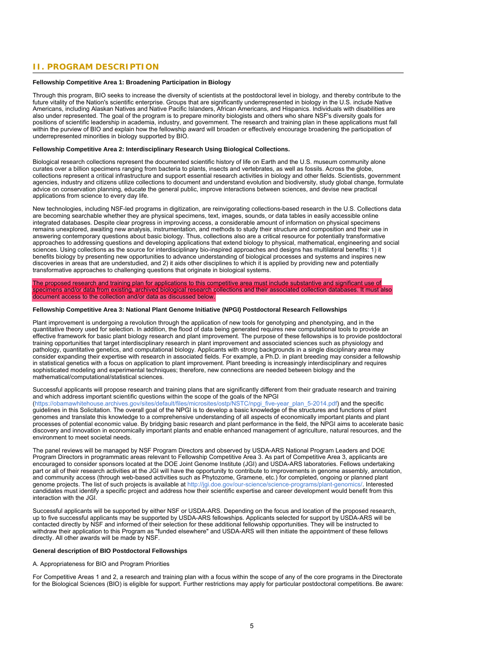## **II. PROGRAM DESCRIPTION**

### **Fellowship Competitive Area 1: Broadening Participation in Biology**

Through this program, BIO seeks to increase the diversity of scientists at the postdoctoral level in biology, and thereby contribute to the future vitality of the Nation's scientific enterprise. Groups that are significantly underrepresented in biology in the U.S. include Native Americans, including Alaskan Natives and Native Pacific Islanders, African Americans, and Hispanics. Individuals with disabilities are also under represented. The goal of the program is to prepare minority biologists and others who share NSF's diversity goals for positions of scientific leadership in academia, industry, and government. The research and training plan in these applications must fall within the purview of BIO and explain how the fellowship award will broaden or effectively encourage broadening the participation of underrepresented minorities in biology supported by BIO.

### **Fellowship Competitive Area 2: Interdisciplinary Research Using Biological Collections.**

Biological research collections represent the documented scientific history of life on Earth and the U.S. museum community alone curates over a billion specimens ranging from bacteria to plants, insects and vertebrates, as well as fossils. Across the globe, collections represent a critical infrastructure and support essential research activities in biology and other fields. Scientists, government agencies, industry and citizens utilize collections to document and understand evolution and biodiversity, study global change, formulate advice on conservation planning, educate the general public, improve interactions between sciences, and devise new practical applications from science to every day life.

New technologies, including NSF-led programs in digitization, are reinvigorating collections-based research in the U.S. Collections data are becoming searchable whether they are physical specimens, text, images, sounds, or data tables in easily accessible online integrated databases. Despite clear progress in improving access, a considerable amount of information on physical specimens remains unexplored, awaiting new analysis, instrumentation, and methods to study their structure and composition and their use in answering contemporary questions about basic biology. Thus, collections also are a critical resource for potentially transformative approaches to addressing questions and developing applications that extend biology to physical, mathematical, engineering and social sciences. Using collections as the source for interdisciplinary bio-inspired approaches and designs has multilateral benefits: 1) it benefits biology by presenting new opportunities to advance understanding of biological processes and systems and inspires new discoveries in areas that are understudied, and 2) it aids other disciplines to which it is applied by providing new and potentially transformative approaches to challenging questions that originate in biological systems.

The proposed research and training plan for applications to this competitive area must include substantive and significant use of specimens and/or data from existing, archived biological research collections and their associated collection databases. It must also document access to the collection and/or data as discussed below.

## **Fellowship Competitive Area 3: National Plant Genome Initiative (NPGI) Postdoctoral Research Fellowships**

Plant improvement is undergoing a revolution through the application of new tools for genotyping and phenotyping, and in the quantitative theory used for selection. In addition, the flood of data being generated requires new computational tools to provide an effective framework for basic plant biology research and plant improvement. The purpose of these fellowships is to provide postdoctoral training opportunities that target interdisciplinary research in plant improvement and associated sciences such as physiology and pathology, quantitative genetics, and computational biology. Applicants with strong backgrounds in a single disciplinary area may consider expanding their expertise with research in associated fields. For example, a Ph.D. in plant breeding may consider a fellowship in statistical genetics with a focus on application to plant improvement. Plant breeding is increasingly interdisciplinary and requires sophisticated modeling and experimental techniques; therefore, new connections are needed between biology and the mathematical/computational/statistical sciences.

Successful applicants will propose research and training plans that are significantly different from their graduate research and training and which address important scientific questions within the scope of the goals of the NPGI

[\(https://obamawhitehouse.archives.gov/sites/default/files/microsites/ostp/NSTC/npgi\\_five-year\\_plan\\_5-2014.pdf](https://obamawhitehouse.archives.gov/sites/default/files/microsites/ostp/NSTC/npgi_five-year_plan_5-2014.pdf)) and the specific guidelines in this Solicitation. The overall goal of the NPGI is to develop a basic knowledge of the structures and functions of plant genomes and translate this knowledge to a comprehensive understanding of all aspects of economically important plants and plant processes of potential economic value. By bridging basic research and plant performance in the field, the NPGI aims to accelerate basic discovery and innovation in economically important plants and enable enhanced management of agriculture, natural resources, and the environment to meet societal needs.

The panel reviews will be managed by NSF Program Directors and observed by USDA-ARS National Program Leaders and DOE Program Directors in programmatic areas relevant to Fellowship Competitive Area 3. As part of Competitive Area 3, applicants are encouraged to consider sponsors located at the DOE Joint Genome Institute (JGI) and USDA-ARS laboratories. Fellows undertaking part or all of their research activities at the JGI will have the opportunity to contribute to improvements in genome assembly, annotation, and community access (through web-based activities such as Phytozome, Gramene, etc.) for completed, ongoing or planned plant genome projects. The list of such projects is available at<http://jgi.doe.gov/our-science/science-programs/plant-genomics/>. Interested candidates must identify a specific project and address how their scientific expertise and career development would benefit from this interaction with the JGI.

Successful applicants will be supported by either NSF or USDA-ARS. Depending on the focus and location of the proposed research, up to five successful applicants may be supported by USDA-ARS fellowships. Applicants selected for support by USDA-ARS will be contacted directly by NSF and informed of their selection for these additional fellowship opportunities. They will be instructed to withdraw their application to this Program as "funded elsewhere" and USDA-ARS will then initiate the appointment of these fellows directly. All other awards will be made by NSF.

### **General description of BIO Postdoctoral Fellowships**

A. Appropriateness for BIO and Program Priorities

For Competitive Areas 1 and 2, a research and training plan with a focus within the scope of any of the core programs in the Directorate for the Biological Sciences (BIO) is eligible for support. Further restrictions may apply for particular postdoctoral competitions. Be aware: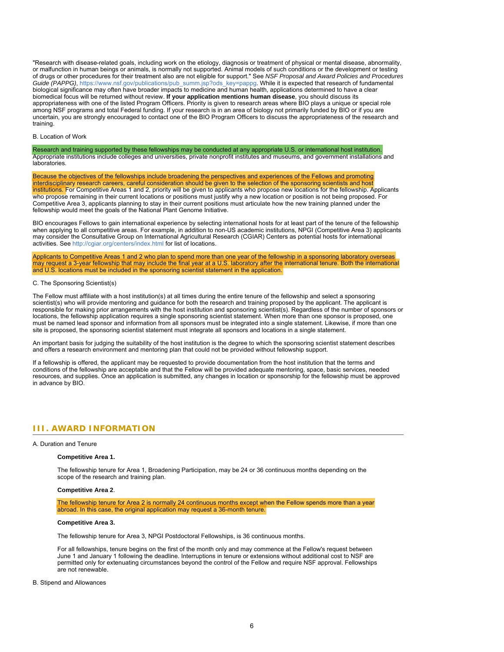"Research with disease-related goals, including work on the etiology, diagnosis or treatment of physical or mental disease, abnormality, or malfunction in human beings or animals, is normally not supported. Animal models of such conditions or the development or testing of drugs or other procedures for their treatment also are not eligible for support." See *NSF Proposal and Award Policies and Procedures Guide (PAPPG)*, [https://www.nsf.gov/publications/pub\\_summ.jsp?ods\\_key=pappg.](https://www.nsf.gov/publications/pub_summ.jsp?ods_key=pappg) While it is expected that research of fundamental biological significance may often have broader impacts to medicine and human health, applications determined to have a clear biomedical focus will be returned without review. **If your application mentions human disease**, you should discuss its appropriateness with one of the listed Program Officers. Priority is given to research areas where BIO plays a unique or special role among NSF programs and total Federal funding. If your research is in an area of biology not primarily funded by BIO or if you are uncertain, you are strongly encouraged to contact one of the BIO Program Officers to discuss the appropriateness of the research and training.

### B. Location of Work

Research and training supported by these fellowships may be conducted at any appropriate U.S. or international host institution. Appropriate institutions include colleges and universities, private nonprofit institutes and museums, and government installations and laboratories.

#### Because the objectives of the fellowships include broadening the perspectives and experiences of the Fellows and promoting interdisciplinary research careers, careful consideration should be given to the selection of the sponsoring scientists and host institutions. For Competitive Areas 1 and 2, priority will be given to applicants who propose new locations for the fellowship. Applicants who propose remaining in their current locations or positions must justify why a new location or position is not being proposed. For Competitive Area 3, applicants planning to stay in their current positions must articulate how the new training planned under the fellowship would meet the goals of the National Plant Genome Initiative.

BIO encourages Fellows to gain international experience by selecting international hosts for at least part of the tenure of the fellowship when applying to all competitive areas. For example, in addition to non-US academic institutions, NPGI (Competitive Area 3) applicants may consider the Consultative Group on International Agricultural Research (CGIAR) Centers as potential hosts for international activities. See [http://cgiar.org/centers/index.html](https://www.nsf.gov/cgi-bin/good-bye?http://cgiar.org/centers/index.html) for list of locations.

Applicants to Competitive Areas 1 and 2 who plan to spend more than one year of the fellowship in a sponsoring laboratory overseas may request a 3-year fellowship that may include the final year at a U.S. laboratory after the international tenure. Both the international and U.S. locations must be included in the sponsoring scientist statement in the application.

#### C. The Sponsoring Scientist(s)

The Fellow must affiliate with a host institution(s) at all times during the entire tenure of the fellowship and select a sponsoring scientist(s) who will provide mentoring and guidance for both the research and training proposed by the applicant. The applicant is responsible for making prior arrangements with the host institution and sponsoring scientist(s). Regardless of the number of sponsors or locations, the fellowship application requires a single sponsoring scientist statement. When more than one sponsor is proposed, one must be named lead sponsor and information from all sponsors must be integrated into a single statement. Likewise, if more than one site is proposed, the sponsoring scientist statement must integrate all sponsors and locations in a single statement.

An important basis for judging the suitability of the host institution is the degree to which the sponsoring scientist statement describes and offers a research environment and mentoring plan that could not be provided without fellowship support.

<span id="page-5-0"></span>If a fellowship is offered, the applicant may be requested to provide documentation from the host institution that the terms and conditions of the fellowship are acceptable and that the Fellow will be provided adequate mentoring, space, basic services, needed resources, and supplies. Once an application is submitted, any changes in location or sponsorship for the fellowship must be approved in advance by BIO.

### **III. AWARD INFORMATION**

#### A. Duration and Tenure

#### **Competitive Area 1.**

The fellowship tenure for Area 1, Broadening Participation, may be 24 or 36 continuous months depending on the scope of the research and training plan.

#### **Competitive Area 2**.

The fellowship tenure for Area 2 is normally 24 continuous months except when the Fellow spends more than a year abroad. In this case, the original application may request a 36-month tenure.

#### **Competitive Area 3.**

The fellowship tenure for Area 3, NPGI Postdoctoral Fellowships, is 36 continuous months.

For all fellowships, tenure begins on the first of the month only and may commence at the Fellow's request between June 1 and January 1 following the deadline. Interruptions in tenure or extensions without additional cost to NSF are permitted only for extenuating circumstances beyond the control of the Fellow and require NSF approval. Fellowships are not renewable.

### B. Stipend and Allowances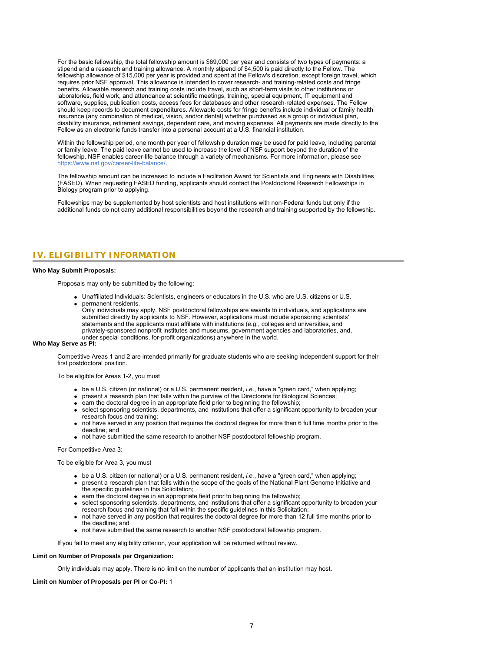For the basic fellowship, the total fellowship amount is \$69,000 per year and consists of two types of payments: a stipend and a research and training allowance. A monthly stipend of \$4,500 is paid directly to the Fellow. The fellowship allowance of \$15,000 per year is provided and spent at the Fellow's discretion, except foreign travel, which requires prior NSF approval. This allowance is intended to cover research- and training-related costs and fringe benefits. Allowable research and training costs include travel, such as short-term visits to other institutions or laboratories, field work, and attendance at scientific meetings, training, special equipment, IT equipment and software, supplies, publication costs, access fees for databases and other research-related expenses. The Fellow should keep records to document expenditures. Allowable costs for fringe benefits include individual or family health insurance (any combination of medical, vision, and/or dental) whether purchased as a group or individual plan, disability insurance, retirement savings, dependent care, and moving expenses. All payments are made directly to the Fellow as an electronic funds transfer into a personal account at a U.S. financial institution.

Within the fellowship period, one month per year of fellowship duration may be used for paid leave, including parental or family leave. The paid leave cannot be used to increase the level of NSF support beyond the duration of the fellowship. NSF enables career-life balance through a variety of mechanisms. For more information, please see <https://www.nsf.gov/career-life-balance/>.

The fellowship amount can be increased to include a Facilitation Award for Scientists and Engineers with Disabilities (FASED). When requesting FASED funding, applicants should contact the Postdoctoral Research Fellowships in Biology program prior to applying.

Fellowships may be supplemented by host scientists and host institutions with non-Federal funds but only if the additional funds do not carry additional responsibilities beyond the research and training supported by the fellowship.

## <span id="page-6-0"></span>**IV. ELIGIBILITY INFORMATION**

### **Who May Submit Proposals:**

Proposals may only be submitted by the following:

- Unaffiliated Individuals: Scientists, engineers or educators in the U.S. who are U.S. citizens or U.S. permanent residents.
- Only individuals may apply. NSF postdoctoral fellowships are awards to individuals, and applications are submitted directly by applicants to NSF. However, applications must include sponsoring scientists' statements and the applicants must affiliate with institutions (*e.g.*, colleges and universities, and privately-sponsored nonprofit institutes and museums, government agencies and laboratories, and, under special conditions, for-profit organizations) anywhere in the world.

### **Who May Serve as PI:**

Competitive Areas 1 and 2 are intended primarily for graduate students who are seeking independent support for their first postdoctoral position.

To be eligible for Areas 1-2, you must

- be a U.S. citizen (or national) or a U.S. permanent resident, *i.e.*, have a "green card," when applying;
- present a research plan that falls within the purview of the Directorate for Biological Sciences:
- earn the doctoral degree in an appropriate field prior to beginning the fellowship;
- select sponsoring scientists, departments, and institutions that offer a significant opportunity to broaden your research focus and training;
- not have served in any position that requires the doctoral degree for more than 6 full time months prior to the deadline; and
- not have submitted the same research to another NSF postdoctoral fellowship program.

#### For Competitive Area 3:

### To be eligible for Area 3, you must

- be a U.S. citizen (or national) or a U.S. permanent resident, *i.e.*, have a "green card," when applying;
- present a research plan that falls within the scope of the goals of the National Plant Genome Initiative and the specific guidelines in this Solicitation;
- $\bullet$  earn the doctoral degree in an appropriate field prior to beginning the fellowship;
- select sponsoring scientists, departments, and institutions that offer a significant opportunity to broaden your research focus and training that fall within the specific guidelines in this Solicitation;
- not have served in any position that requires the doctoral degree for more than 12 full time months prior to the deadline; and
- not have submitted the same research to another NSF postdoctoral fellowship program.

If you fail to meet any eligibility criterion, your application will be returned without review.

#### **Limit on Number of Proposals per Organization:**

Only individuals may apply. There is no limit on the number of applicants that an institution may host.

**Limit on Number of Proposals per PI or Co-PI:** 1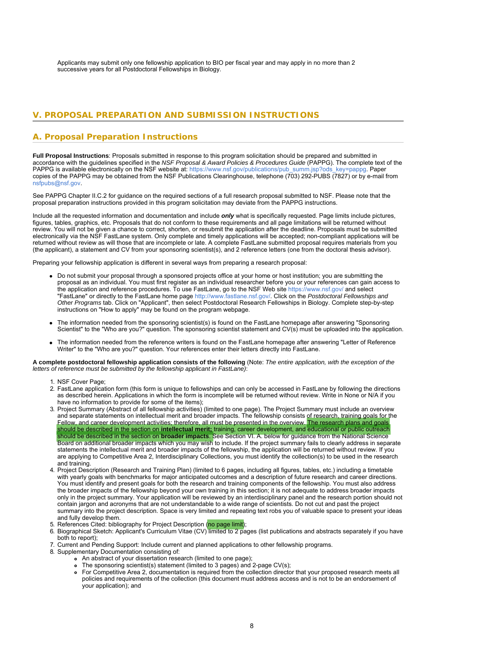Applicants may submit only one fellowship application to BIO per fiscal year and may apply in no more than 2 successive years for all Postdoctoral Fellowships in Biology.

## <span id="page-7-0"></span>**V. PROPOSAL PREPARATION AND SUBMISSION INSTRUCTIONS**

## **A. Proposal Preparation Instructions**

**Full Proposal Instructions**: Proposals submitted in response to this program solicitation should be prepared and submitted in accordance with the guidelines specified in the *NSF Proposal & Award Policies & Procedures Guide* (PAPPG). The complete text of the PAPPG is available electronically on the NSF website at: https://www.nsf.gov/publications/pub\_summ.jsp?ods\_key=pappg. Paper copies of the PAPPG may be obtained from the NSF Publications Clearinghouse, telephone (703) 292-PUBS (7827) or by e-mail from nsfpubs@nsf.gov.

See PAPPG Chapter II.C.2 for guidance on the required sections of a full research proposal submitted to NSF. Please note that the proposal preparation instructions provided in this program solicitation may deviate from the PAPPG instructions.

Include all the requested information and documentation and include *only* what is specifically requested. Page limits include pictures, figures, tables, graphics, etc. Proposals that do not conform to these requirements and all page limitations will be returned without review. You will not be given a chance to correct, shorten, or resubmit the application after the deadline. Proposals must be submitted electronically via the NSF FastLane system. Only complete and timely applications will be accepted; non-compliant applications will be returned without review as will those that are incomplete or late. A complete FastLane submitted proposal requires materials from you (the applicant), a statement and CV from your sponsoring scientist(s), and 2 reference letters (one from the doctoral thesis advisor).

Preparing your fellowship application is different in several ways from preparing a research proposal:

- Do not submit your proposal through a sponsored projects office at your home or host institution; you are submitting the proposal as an individual. You must first register as an individual researcher before you or your references can gain access to the application and reference procedures. To use FastLane, go to the NSF Web site https://www.nsf.gov/ and select "FastLane" or directly to the FastLane home page http://www.fastlane.nsf.gov/. Click on the *Postdoctoral Fellowships and Other Programs* tab. Click on "Applicant", then select Postdoctoral Research Fellowships in Biology. Complete step-by-step instructions on "How to apply" may be found on the program webpage.
- The information needed from the sponsoring scientist(s) is found on the FastLane homepage after answering "Sponsoring Scientist" to the "Who are you?" question. The sponsoring scientist statement and CV(s) must be uploaded into the application.
- The information needed from the reference writers is found on the FastLane homepage after answering "Letter of Reference Writer" to the "Who are you?" question. Your references enter their letters directly into FastLane.

**A complete postdoctoral fellowship application consists of the following** (Note: *The entire application, with the exception of the letters of reference must be submitted by the fellowship applicant in FastLane)*:

- 1. NSF Cover Page;
- 2. FastLane application form (this form is unique to fellowships and can only be accessed in FastLane by following the directions as described herein. Applications in which the form is incomplete will be returned without review. Write in None or N/A if you have no information to provide for some of the items);
- 3. Project Summary (Abstract of all fellowship activities) (limited to one page). The Project Summary must include an overview and separate statements on intellectual merit and broader impacts. The fellowship consists of research, training goals for the Fellow, and career development activities; therefore, all must be presented in the overview. The research plans and goals should be described in the section on **intellectual merit;** training, career development, and educational or public outreach should be described in the section on **broader impacts**. See Section VI. A. below for guidance from the National Science Board on additional broader impacts which you may wish to include. If the project summary fails to clearly address in separate statements the intellectual merit and broader impacts of the fellowship, the application will be returned without review. If you are applying to Competitive Area 2, Interdisciplinary Collections, you must identify the collection(s) to be used in the research and training.
- 4. Project Description (Research and Training Plan) (limited to 6 pages, including all figures, tables, etc.) including a timetable with yearly goals with benchmarks for major anticipated outcomes and a description of future research and career directions. You must identify and present goals for both the research and training components of the fellowship. You must also address the broader impacts of the fellowship beyond your own training in this section; it is not adequate to address broader impacts only in the project summary. Your application will be reviewed by an interdisciplinary panel and the research portion should not contain jargon and acronyms that are not understandable to a wide range of scientists. Do not cut and past the project summary into the project description. Space is very limited and repeating text robs you of valuable space to present your ideas and fully develop them.
- 5. References Cited: bibliography for Project Description (no page limit);
- 6. Biographical Sketch: Applicant's Curriculum Vitae (CV) limited to 2 pages (list publications and abstracts separately if you have both to report);
- 7. Current and Pending Support: Include current and planned applications to other fellowship programs.
- 8. Supplementary Documentation consisting of:
	- An abstract of your dissertation research (limited to one page);
		- The sponsoring scientist(s) statement (limited to 3 pages) and 2-page CV(s);  $\bullet$
		- For Competitive Area 2, documentation is required from the collection director that your proposed research meets all policies and requirements of the collection (this document must address access and is not to be an endorsement of your application); and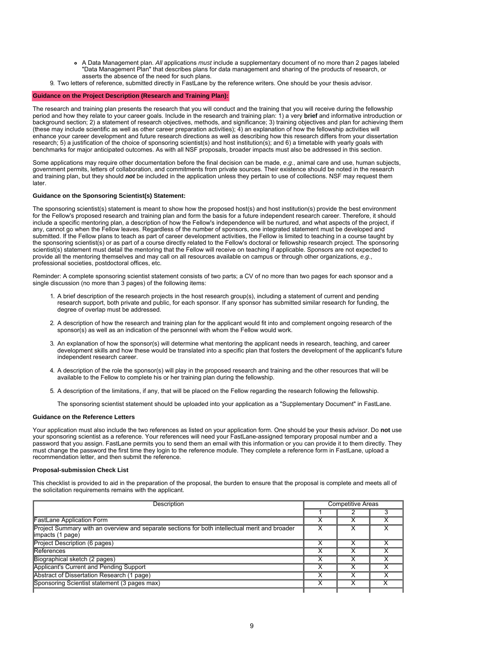- A Data Management plan. *All* applications *must* include a supplementary document of no more than 2 pages labeled "Data Management Plan" that describes plans for data management and sharing of the products of research, or asserts the absence of the need for such plans.
- 9. Two letters of reference, submitted directly in FastLane by the reference writers. One should be your thesis advisor.

### **Guidance on the Project Description (Research and Training Plan):**

The research and training plan presents the research that you will conduct and the training that you will receive during the fellowship period and how they relate to your career goals. Include in the research and training plan: 1) a very **brief** and informative introduction or background section; 2) a statement of research objectives, methods, and significance; 3) training objectives and plan for achieving them (these may include scientific as well as other career preparation activities); 4) an explanation of how the fellowship activities will enhance your career development and future research directions as well as describing how this research differs from your dissertation research; 5) a justification of the choice of sponsoring scientist(s) and host institution(s); and 6) a timetable with yearly goals with benchmarks for major anticipated outcomes. As with all NSF proposals, broader impacts must also be addressed in this section.

Some applications may require other documentation before the final decision can be made, *e.g.*, animal care and use, human subjects, government permits, letters of collaboration, and commitments from private sources. Their existence should be noted in the research and training plan, but they should *not* be included in the application unless they pertain to use of collections. NSF may request them later.

#### **Guidance on the Sponsoring Scientist(s) Statement:**

The sponsoring scientist(s) statement is meant to show how the proposed host(s) and host institution(s) provide the best environment for the Fellow's proposed research and training plan and form the basis for a future independent research career. Therefore, it should include a specific mentoring plan, a description of how the Fellow's independence will be nurtured, and what aspects of the project, if any, cannot go when the Fellow leaves. Regardless of the number of sponsors, one integrated statement must be developed and submitted. If the Fellow plans to teach as part of career development activities, the Fellow is limited to teaching in a course taught by the sponsoring scientist(s) or as part of a course directly related to the Fellow's doctoral or fellowship research project. The sponsoring scientist(s) statement must detail the mentoring that the Fellow will receive on teaching if applicable. Sponsors are not expected to provide all the mentoring themselves and may call on all resources available on campus or through other organizations, *e.g*., professional societies, postdoctoral offices, etc.

Reminder: A complete sponsoring scientist statement consists of two parts; a CV of no more than two pages for each sponsor and a single discussion (no more than 3 pages) of the following items:

- 1. A brief description of the research projects in the host research group(s), including a statement of current and pending research support, both private and public, for each sponsor. If any sponsor has submitted similar research for funding, the degree of overlap must be addressed.
- 2. A description of how the research and training plan for the applicant would fit into and complement ongoing research of the sponsor(s) as well as an indication of the personnel with whom the Fellow would work.
- 3. An explanation of how the sponsor(s) will determine what mentoring the applicant needs in research, teaching, and career development skills and how these would be translated into a specific plan that fosters the development of the applicant's future independent research career.
- 4. A description of the role the sponsor(s) will play in the proposed research and training and the other resources that will be available to the Fellow to complete his or her training plan during the fellowship.
- 5. A description of the limitations, if any, that will be placed on the Fellow regarding the research following the fellowship.

The sponsoring scientist statement should be uploaded into your application as a "Supplementary Document" in FastLane.

### **Guidance on the Reference Letters**

Your application must also include the two references as listed on your application form. One should be your thesis advisor. Do **not** use your sponsoring scientist as a reference. Your references will need your FastLane-assigned temporary proposal number and a password that you assign. FastLane permits you to send them an email with this information or you can provide it to them directly. They must change the password the first time they login to the reference module. They complete a reference form in FastLane, upload a recommendation letter, and then submit the reference.

#### **Proposal-submission Check List**

This checklist is provided to aid in the preparation of the proposal, the burden to ensure that the proposal is complete and meets all of the solicitation requirements remains with the applicant.

| Description                                                                                                         | <b>Competitive Areas</b> |  |  |  |  |
|---------------------------------------------------------------------------------------------------------------------|--------------------------|--|--|--|--|
|                                                                                                                     |                          |  |  |  |  |
| <b>FastLane Application Form</b>                                                                                    |                          |  |  |  |  |
| Project Summary with an overview and separate sections for both intellectual merit and broader<br>limpacts (1 page) |                          |  |  |  |  |
| Project Description (6 pages)                                                                                       | х                        |  |  |  |  |
| References                                                                                                          |                          |  |  |  |  |
| Biographical sketch (2 pages)                                                                                       | x                        |  |  |  |  |
| <b>Applicant's Current and Pending Support</b>                                                                      | х                        |  |  |  |  |
| Abstract of Dissertation Research (1 page)                                                                          | x                        |  |  |  |  |
| Sponsoring Scientist statement (3 pages max)                                                                        | x                        |  |  |  |  |
|                                                                                                                     |                          |  |  |  |  |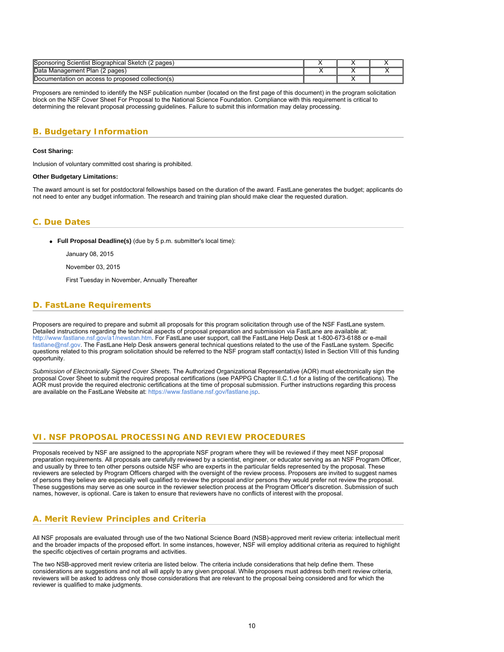<span id="page-9-1"></span>

| t Biographical Sketch (2)<br>pages<br>i Scientist<br>Sponsorina |  |  |  |
|-----------------------------------------------------------------|--|--|--|
| Management Plan ا<br>Data<br>(2 pages)                          |  |  |  |
| Documentation on access to proposed collection(s)               |  |  |  |

<span id="page-9-0"></span>Proposers are reminded to identify the NSF publication number (located on the first page of this document) in the program solicitation block on the NSF Cover Sheet For Proposal to the National Science Foundation. Compliance with this requirement is critical to determining the relevant proposal processing guidelines. Failure to submit this information may delay processing.

## **B. Budgetary Information**

### **Cost Sharing:**

Inclusion of voluntary committed cost sharing is prohibited.

#### **Other Budgetary Limitations:**

The award amount is set for postdoctoral fellowships based on the duration of the award. FastLane generates the budget; applicants do not need to enter any budget information. The research and training plan should make clear the requested duration.

## **C. Due Dates**

**Full Proposal Deadline(s)** (due by 5 p.m. submitter's local time):

January 08, 2015

November 03, 2015

First Tuesday in November, Annually Thereafter

## <span id="page-9-2"></span>**D. FastLane Requirements**

Proposers are required to prepare and submit all proposals for this program solicitation through use of the NSF FastLane system. Detailed instructions regarding the technical aspects of proposal preparation and submission via FastLane are available at: <http://www.fastlane.nsf.gov/a1/newstan.htm>. For FastLane user support, call the FastLane Help Desk at 1-800-673-6188 or e-mail [fastlane@nsf.gov.](mailto:fastlane@nsf.gov) The FastLane Help Desk answers general technical questions related to the use of the FastLane system. Specific questions related to this program solicitation should be referred to the NSF program staff contact(s) listed in Section VIII of this funding opportunity.

<span id="page-9-3"></span>*Submission of Electronically Signed Cover Sheets*. The Authorized Organizational Representative (AOR) must electronically sign the proposal Cover Sheet to submit the required proposal certifications (see PAPPG Chapter II.C.1.d for a listing of the certifications). The AOR must provide the required electronic certifications at the time of proposal submission. Further instructions regarding this process are available on the FastLane Website at:<https://www.fastlane.nsf.gov/fastlane.jsp>.

## **VI. NSF PROPOSAL PROCESSING AND REVIEW PROCEDURES**

Proposals received by NSF are assigned to the appropriate NSF program where they will be reviewed if they meet NSF proposal preparation requirements. All proposals are carefully reviewed by a scientist, engineer, or educator serving as an NSF Program Officer, and usually by three to ten other persons outside NSF who are experts in the particular fields represented by the proposal. These reviewers are selected by Program Officers charged with the oversight of the review process. Proposers are invited to suggest names of persons they believe are especially well qualified to review the proposal and/or persons they would prefer not review the proposal. These suggestions may serve as one source in the reviewer selection process at the Program Officer's discretion. Submission of such names, however, is optional. Care is taken to ensure that reviewers have no conflicts of interest with the proposal.

## <span id="page-9-4"></span>**A. Merit Review Principles and Criteria**

All NSF proposals are evaluated through use of the two National Science Board (NSB)-approved merit review criteria: intellectual merit and the broader impacts of the proposed effort. In some instances, however, NSF will employ additional criteria as required to highlight the specific objectives of certain programs and activities.

The two NSB-approved merit review criteria are listed below. The criteria include considerations that help define them. These considerations are suggestions and not all will apply to any given proposal. While proposers must address both merit review criteria, reviewers will be asked to address only those considerations that are relevant to the proposal being considered and for which the reviewer is qualified to make judgments.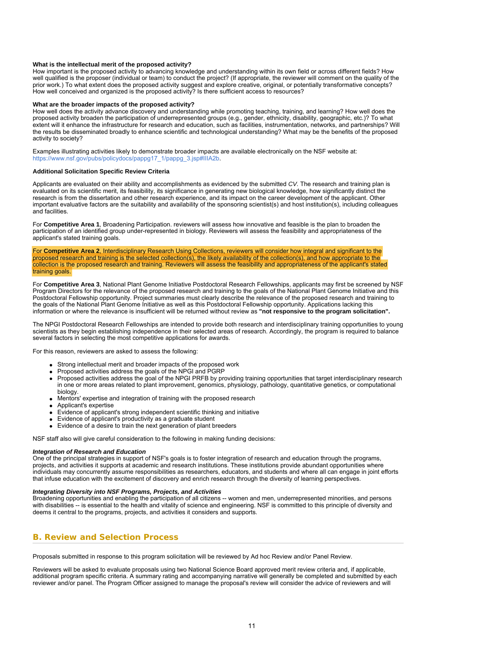### **What is the intellectual merit of the proposed activity?**

How important is the proposed activity to advancing knowledge and understanding within its own field or across different fields? How well qualified is the proposer (individual or team) to conduct the project? (If appropriate, the reviewer will comment on the quality of the prior work.) To what extent does the proposed activity suggest and explore creative, original, or potentially transformative concepts? How well conceived and organized is the proposed activity? Is there sufficient access to resources?

### **What are the broader impacts of the proposed activity?**

How well does the activity advance discovery and understanding while promoting teaching, training, and learning? How well does the proposed activity broaden the participation of underrepresented groups (e.g., gender, ethnicity, disability, geographic, etc.)? To what extent will it enhance the infrastructure for research and education, such as facilities, instrumentation, networks, and partnerships? Will the results be disseminated broadly to enhance scientific and technological understanding? What may be the benefits of the proposed activity to society?

Examples illustrating activities likely to demonstrate broader impacts are available electronically on the NSF website at: [https://www.nsf.gov/pubs/policydocs/pappg17\\_1/pappg\\_3.jsp#IIIA2b.](https://www.nsf.gov/pubs/policydocs/pappg17_1/pappg_3.jsp#IIIA2b)

#### **Additional Solicitation Specific Review Criteria**

Applicants are evaluated on their ability and accomplishments as evidenced by the submitted *CV.* The research and training plan is evaluated on its scientific merit, its feasibility, its significance in generating new biological knowledge, how significantly distinct the research is from the dissertation and other research experience, and its impact on the career development of the applicant. Other important evaluative factors are the suitability and availability of the sponsoring scientist(s) and host institution(s), including colleagues and facilities.

For **Competitive Area 1**, Broadening Participation. reviewers will assess how innovative and feasible is the plan to broaden the participation of an identified group under-represented in biology. Reviewers will assess the feasibility and appropriateness of the applicant's stated training goals.

For **Competitive Area 2**, Interdisciplinary Research Using Collections, reviewers will consider how integral and significant to the proposed research and training is the selected collection(s), the likely availability of the collection(s), and how appropriate to the collection is the proposed research and training. Reviewers will assess the feasibility and appropriateness of the applicant's stated training goals.

For **Competitive Area 3**, National Plant Genome Initiative Postdoctoral Research Fellowships, applicants may first be screened by NSF Program Directors for the relevance of the proposed research and training to the goals of the National Plant Genome Initiative and this Postdoctoral Fellowship opportunity. Project summaries must clearly describe the relevance of the proposed research and training to the goals of the National Plant Genome Initiative as well as this Postdoctoral Fellowship opportunity. Applications lacking this information or where the relevance is insufficient will be returned without review as **"not responsive to the program solicitation".**

The NPGI Postdoctoral Research Fellowships are intended to provide both research and interdisciplinary training opportunities to young scientists as they begin establishing independence in their selected areas of research. Accordingly, the program is required to balance several factors in selecting the most competitive applications for awards.

For this reason, reviewers are asked to assess the following:

- Strong intellectual merit and broader impacts of the proposed work
- Proposed activities address the goals of the NPGI and PGRP
- Proposed activities address the goal of the NPGI PRFB by providing training opportunities that target interdisciplinary research in one or more areas related to plant improvement, genomics, physiology, pathology, quantitative genetics, or computational biology.
- Mentors' expertise and integration of training with the proposed research
- Applicant's expertise
- Evidence of applicant's strong independent scientific thinking and initiative
- Evidence of applicant's productivity as a graduate student
- Evidence of a desire to train the next generation of plant breeders

NSF staff also will give careful consideration to the following in making funding decisions:

### *Integration of Research and Education*

One of the principal strategies in support of NSF's goals is to foster integration of research and education through the programs, projects, and activities it supports at academic and research institutions. These institutions provide abundant opportunities where individuals may concurrently assume responsibilities as researchers, educators, and students and where all can engage in joint efforts that infuse education with the excitement of discovery and enrich research through the diversity of learning perspectives.

### *Integrating Diversity into NSF Programs, Projects, and Activities*

<span id="page-10-0"></span>Broadening opportunities and enabling the participation of all citizens -- women and men, underrepresented minorities, and persons with disabilities -- is essential to the health and vitality of science and engineering. NSF is committed to this principle of diversity and deems it central to the programs, projects, and activities it considers and supports.

## **B. Review and Selection Process**

Proposals submitted in response to this program solicitation will be reviewed by Ad hoc Review and/or Panel Review.

Reviewers will be asked to evaluate proposals using two National Science Board approved merit review criteria and, if applicable, additional program specific criteria. A summary rating and accompanying narrative will generally be completed and submitted by each reviewer and/or panel. The Program Officer assigned to manage the proposal's review will consider the advice of reviewers and will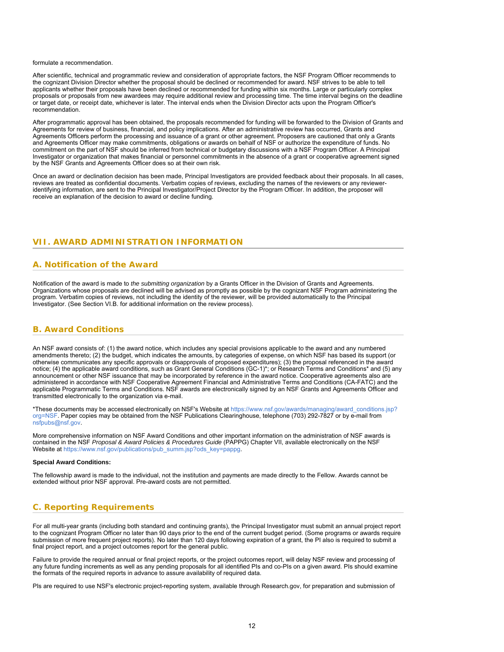formulate a recommendation.

After scientific, technical and programmatic review and consideration of appropriate factors, the NSF Program Officer recommends to the cognizant Division Director whether the proposal should be declined or recommended for award. NSF strives to be able to tell applicants whether their proposals have been declined or recommended for funding within six months. Large or particularly complex proposals or proposals from new awardees may require additional review and processing time. The time interval begins on the deadline or target date, or receipt date, whichever is later. The interval ends when the Division Director acts upon the Program Officer's recommendation.

After programmatic approval has been obtained, the proposals recommended for funding will be forwarded to the Division of Grants and Agreements for review of business, financial, and policy implications. After an administrative review has occurred, Grants and Agreements Officers perform the processing and issuance of a grant or other agreement. Proposers are cautioned that only a Grants and Agreements Officer may make commitments, obligations or awards on behalf of NSF or authorize the expenditure of funds. No commitment on the part of NSF should be inferred from technical or budgetary discussions with a NSF Program Officer. A Principal Investigator or organization that makes financial or personnel commitments in the absence of a grant or cooperative agreement signed by the NSF Grants and Agreements Officer does so at their own risk.

<span id="page-11-0"></span>Once an award or declination decision has been made, Principal Investigators are provided feedback about their proposals. In all cases, reviews are treated as confidential documents. Verbatim copies of reviews, excluding the names of the reviewers or any revieweridentifying information, are sent to the Principal Investigator/Project Director by the Program Officer. In addition, the proposer will receive an explanation of the decision to award or decline funding.

## <span id="page-11-1"></span>**VII. AWARD ADMINISTRATION INFORMATION**

## **A. Notification of the Award**

Notification of the award is made to *the submitting organization* by a Grants Officer in the Division of Grants and Agreements. Organizations whose proposals are declined will be advised as promptly as possible by the cognizant NSF Program administering the program. Verbatim copies of reviews, not including the identity of the reviewer, will be provided automatically to the Principal Investigator. (See Section VI.B. for additional information on the review process).

## <span id="page-11-2"></span>**B. Award Conditions**

An NSF award consists of: (1) the award notice, which includes any special provisions applicable to the award and any numbered amendments thereto; (2) the budget, which indicates the amounts, by categories of expense, on which NSF has based its support (or otherwise communicates any specific approvals or disapprovals of proposed expenditures); (3) the proposal referenced in the award notice; (4) the applicable award conditions, such as Grant General Conditions (GC-1)\*; or Research Terms and Conditions\* and (5) any announcement or other NSF issuance that may be incorporated by reference in the award notice. Cooperative agreements also are administered in accordance with NSF Cooperative Agreement Financial and Administrative Terms and Conditions (CA-FATC) and the applicable Programmatic Terms and Conditions. NSF awards are electronically signed by an NSF Grants and Agreements Officer and transmitted electronically to the organization via e-mail.

\*These documents may be accessed electronically on NSF's Website at [https://www.nsf.gov/awards/managing/award\\_conditions.jsp?](https://www.nsf.gov/awards/managing/award_conditions.jsp?org=NSF) [org=NSF.](https://www.nsf.gov/awards/managing/award_conditions.jsp?org=NSF) Paper copies may be obtained from the NSF Publications Clearinghouse, telephone (703) 292-7827 or by e-mail from [nsfpubs@nsf.gov.](mailto:nsfpubs@nsf.gov)

More comprehensive information on NSF Award Conditions and other important information on the administration of NSF awards is contained in the NSF *Proposal & Award Policies & Procedures Guide* (PAPPG) Chapter VII, available electronically on the NSF Website at [https://www.nsf.gov/publications/pub\\_summ.jsp?ods\\_key=pappg](https://www.nsf.gov/publications/pub_summ.jsp?ods_key=pappg).

#### **Special Award Conditions:**

<span id="page-11-3"></span>The fellowship award is made to the individual, not the institution and payments are made directly to the Fellow. Awards cannot be extended without prior NSF approval. Pre-award costs are not permitted.

## **C. Reporting Requirements**

For all multi-year grants (including both standard and continuing grants), the Principal Investigator must submit an annual project report to the cognizant Program Officer no later than 90 days prior to the end of the current budget period. (Some programs or awards require submission of more frequent project reports). No later than 120 days following expiration of a grant, the PI also is required to submit a final project report, and a project outcomes report for the general public.

Failure to provide the required annual or final project reports, or the project outcomes report, will delay NSF review and processing of any future funding increments as well as any pending proposals for all identified PIs and co-PIs on a given award. PIs should examine the formats of the required reports in advance to assure availability of required data.

PIs are required to use NSF's electronic project-reporting system, available through Research.gov, for preparation and submission of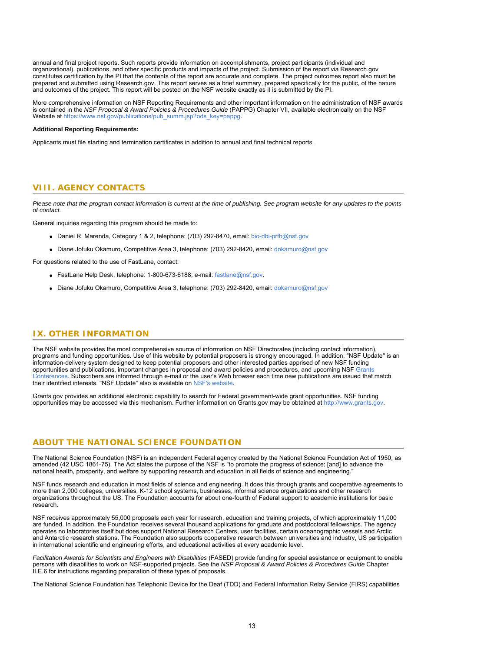annual and final project reports. Such reports provide information on accomplishments, project participants (individual and organizational), publications, and other specific products and impacts of the project. Submission of the report via Research.gov constitutes certification by the PI that the contents of the report are accurate and complete. The project outcomes report also must be prepared and submitted using Research.gov. This report serves as a brief summary, prepared specifically for the public, of the nature and outcomes of the project. This report will be posted on the NSF website exactly as it is submitted by the PI.

More comprehensive information on NSF Reporting Requirements and other important information on the administration of NSF awards is contained in the *NSF Proposal & Award Policies & Procedures Guide* (PAPPG) Chapter VII, available electronically on the NSF Website at [https://www.nsf.gov/publications/pub\\_summ.jsp?ods\\_key=pappg](https://www.nsf.gov/publications/pub_summ.jsp?ods_key=pappg).

#### **Additional Reporting Requirements:**

<span id="page-12-0"></span>Applicants must file starting and termination certificates in addition to annual and final technical reports.

## **VIII. AGENCY CONTACTS**

*Please note that the program contact information is current at the time of publishing. See program website for any updates to the points of contact.*

General inquiries regarding this program should be made to:

- Daniel R. Marenda, Category 1 & 2, telephone: (703) 292-8470, email: [bio-dbi-prfb@nsf.gov](mailto:bio-dbi-prfb@nsf.gov)
- Diane Jofuku Okamuro, Competitive Area 3, telephone: (703) 292-8420, email: [dokamuro@nsf.gov](mailto:dokamuro@nsf.gov)

<span id="page-12-1"></span>For questions related to the use of FastLane, contact:

- FastLane Help Desk, telephone: 1-800-673-6188; e-mail: [fastlane@nsf.gov](mailto:fastlane@nsf.gov).
- Diane Jofuku Okamuro, Competitive Area 3, telephone: (703) 292-8420, email: [dokamuro@nsf.gov](mailto:dokamuro@nsf.gov)

## **IX. OTHER INFORMATION**

The NSF website provides the most comprehensive source of information on NSF Directorates (including contact information), programs and funding opportunities. Use of this website by potential proposers is strongly encouraged. In addition, "NSF Update" is an information-delivery system designed to keep potential proposers and other interested parties apprised of new NSF funding opportunities and publications, important changes in proposal and award policies and procedures, and upcoming NSF [Grants](https://www.nsf.gov/bfa/dias/policy/outreach.jsp) [Conferences](https://www.nsf.gov/bfa/dias/policy/outreach.jsp). Subscribers are informed through e-mail or the user's Web browser each time new publications are issued that match their identified interests. "NSF Update" also is available on [NSF's website](https://www.nsf.gov/cgi-bin/goodbye?https://public.govdelivery.com/accounts/USNSF/subscriber/new?topic_id=USNSF_179).

Grants.gov provides an additional electronic capability to search for Federal government-wide grant opportunities. NSF funding opportunities may be accessed via this mechanism. Further information on Grants.gov may be obtained at [http://www.grants.gov](http://www.grants.gov/).

## **ABOUT THE NATIONAL SCIENCE FOUNDATION**

The National Science Foundation (NSF) is an independent Federal agency created by the National Science Foundation Act of 1950, as amended (42 USC 1861-75). The Act states the purpose of the NSF is "to promote the progress of science; [and] to advance the national health, prosperity, and welfare by supporting research and education in all fields of science and engineering."

NSF funds research and education in most fields of science and engineering. It does this through grants and cooperative agreements to more than 2,000 colleges, universities, K-12 school systems, businesses, informal science organizations and other research organizations throughout the US. The Foundation accounts for about one-fourth of Federal support to academic institutions for basic research.

NSF receives approximately 55,000 proposals each year for research, education and training projects, of which approximately 11,000 are funded. In addition, the Foundation receives several thousand applications for graduate and postdoctoral fellowships. The agency operates no laboratories itself but does support National Research Centers, user facilities, certain oceanographic vessels and Arctic and Antarctic research stations. The Foundation also supports cooperative research between universities and industry, US participation in international scientific and engineering efforts, and educational activities at every academic level.

*Facilitation Awards for Scientists and Engineers with Disabilities* (FASED) provide funding for special assistance or equipment to enable persons with disabilities to work on NSF-supported projects. See the *NSF Proposal & Award Policies & Procedures Guide* Chapter II.E.6 for instructions regarding preparation of these types of proposals.

The National Science Foundation has Telephonic Device for the Deaf (TDD) and Federal Information Relay Service (FIRS) capabilities